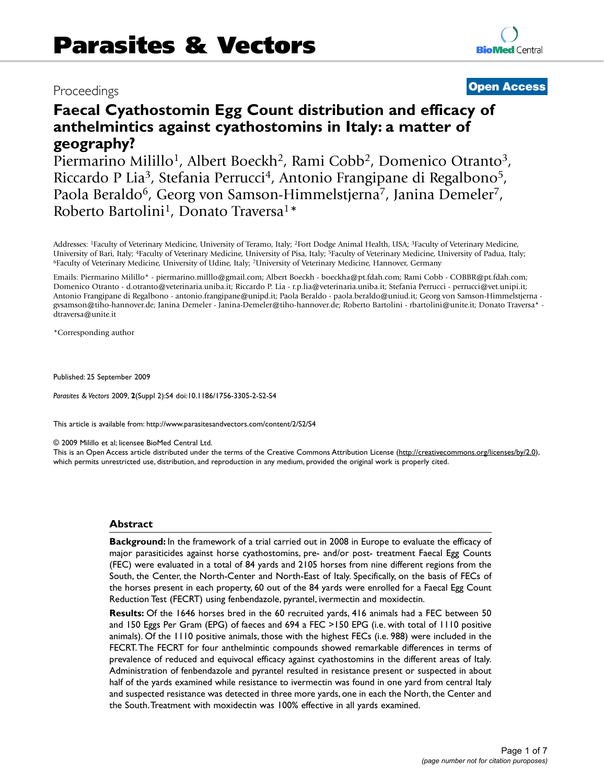## Proceedings

**Open Access**

**BioMed Central** 

# **Faecal Cyathostomin Egg Count distribution and efficacy of anthelmintics against cyathostomins in Italy: a matter of geography?**

Piermarino Milillo<sup>1</sup>, Albert Boeckh<sup>2</sup>, Rami Cobb<sup>2</sup>, Domenico Otranto<sup>3</sup>, Riccardo P Lia<sup>3</sup>, Stefania Perrucci<sup>4</sup>, Antonio Frangipane di Regalbono<sup>5</sup>, Paola Beraldo<sup>6</sup>, Georg von Samson-Himmelstjerna<sup>7</sup>, Janina Demeler<sup>7</sup>, Roberto Bartolini<sup>1</sup>, Donato Traversa<sup>1\*</sup>

Addresses: 1Faculty of Veterinary Medicine, University of Teramo, Italy; 2Fort Dodge Animal Health, USA; 3Faculty of Veterinary Medicine, University of Bari, Italy; 4Faculty of Veterinary Medicine, University of Pisa, Italy; 5Faculty of Veterinary Medicine, University of Padua, Italy; 6Faculty of Veterinary Medicine, University of Udine, Italy; 7University of Veterinary Medicine, Hannover, Germany

Emails: Piermarino Milillo\* - piermarino.milllo@gmail.com; Albert Boeckh - boeckha@pt.fdah.com; Rami Cobb - COBBR@pt.fdah.com; Domenico Otranto - d.otranto@veterinaria.uniba.it; Riccardo P. Lia - r.p.lia@veterinaria.uniba.it; Stefania Perrucci - perrucci@vet.unipi.it; Antonio Frangipane di Regalbono - antonio.frangipane@unipd.it; Paola Beraldo - paola.beraldo@uniud.it; Georg von Samson-Himmelstjerna gvsamson@tiho-hannover.de; Janina Demeler - Janina-Demeler@tiho-hannover.de; Roberto Bartolini - rbartolini@unite.it; Donato Traversa\* dtraversa@unite.it

\*Corresponding author

Published: 25 September 2009

*Parasites & Vectors* 2009, **2**(Suppl 2):S4 doi:10.1186/1756-3305-2-S2-S4

This article is available from: http://www.parasitesandvectors.com/content/2/S2/S4

© 2009 Milillo et al; licensee BioMed Central Ltd.

This is an Open Access article distributed under the terms of the Creative Commons Attribution License (http://creativecommons.org/licenses/by/2.0), which permits unrestricted use, distribution, and reproduction in any medium, provided the original work is properly cited.

#### **Abstract**

**Background:** In the framework of a trial carried out in 2008 in Europe to evaluate the efficacy of major parasiticides against horse cyathostomins, pre- and/or post- treatment Faecal Egg Counts (FEC) were evaluated in a total of 84 yards and 2105 horses from nine different regions from the South, the Center, the North-Center and North-East of Italy. Specifically, on the basis of FECs of the horses present in each property, 60 out of the 84 yards were enrolled for a Faecal Egg Count Reduction Test (FECRT) using fenbendazole, pyrantel, ivermectin and moxidectin.

**Results:** Of the 1646 horses bred in the 60 recruited yards, 416 animals had a FEC between 50 and 150 Eggs Per Gram (EPG) of faeces and 694 a FEC >150 EPG (i.e. with total of 1110 positive animals). Of the 1110 positive animals, those with the highest FECs (i.e. 988) were included in the FECRT.The FECRT for four anthelmintic compounds showed remarkable differences in terms of prevalence of reduced and equivocal efficacy against cyathostomins in the different areas of Italy. Administration of fenbendazole and pyrantel resulted in resistance present or suspected in about half of the yards examined while resistance to ivermectin was found in one yard from central Italy and suspected resistance was detected in three more yards, one in each the North, the Center and the South.Treatment with moxidectin was 100% effective in all yards examined.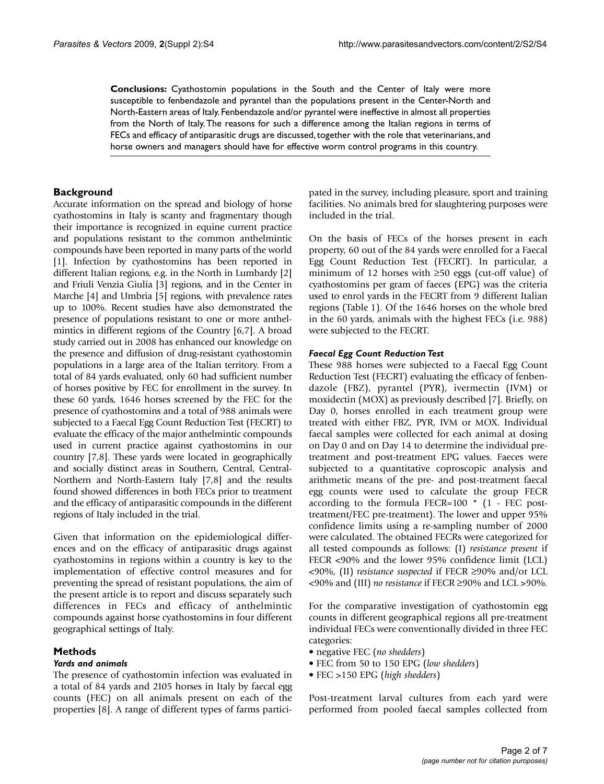**Conclusions:** Cyathostomin populations in the South and the Center of Italy were more susceptible to fenbendazole and pyrantel than the populations present in the Center-North and North-Eastern areas of Italy. Fenbendazole and/or pyrantel were ineffective in almost all properties from the North of Italy.The reasons for such a difference among the Italian regions in terms of FECs and efficacy of antiparasitic drugs are discussed, together with the role that veterinarians, and horse owners and managers should have for effective worm control programs in this country.

#### **Background**

Accurate information on the spread and biology of horse cyathostomins in Italy is scanty and fragmentary though their importance is recognized in equine current practice and populations resistant to the common anthelmintic compounds have been reported in many parts of the world [1]. Infection by cyathostomins has been reported in different Italian regions, e.g. in the North in Lumbardy [2] and Friuli Venzia Giulia [3] regions, and in the Center in Marche [4] and Umbria [5] regions, with prevalence rates up to 100%. Recent studies have also demonstrated the presence of populations resistant to one or more anthelmintics in different regions of the Country [6,7]. A broad study carried out in 2008 has enhanced our knowledge on the presence and diffusion of drug-resistant cyathostomin populations in a large area of the Italian territory. From a total of 84 yards evaluated, only 60 had sufficient number of horses positive by FEC for enrollment in the survey. In these 60 yards, 1646 horses screened by the FEC for the presence of cyathostomins and a total of 988 animals were subjected to a Faecal Egg Count Reduction Test (FECRT) to evaluate the efficacy of the major anthelmintic compounds used in current practice against cyathostomins in our country [7,8]. These yards were located in geographically and socially distinct areas in Southern, Central, Central-Northern and North-Eastern Italy [7,8] and the results found showed differences in both FECs prior to treatment and the efficacy of antiparasitic compounds in the different regions of Italy included in the trial.

Given that information on the epidemiological differences and on the efficacy of antiparasitic drugs against cyathostomins in regions within a country is key to the implementation of effective control measures and for preventing the spread of resistant populations, the aim of the present article is to report and discuss separately such differences in FECs and efficacy of anthelmintic compounds against horse cyathostomins in four different geographical settings of Italy.

#### **Methods**

#### *Yards and animals*

The presence of cyathostomin infection was evaluated in a total of 84 yards and 2105 horses in Italy by faecal egg counts (FEC) on all animals present on each of the properties [8]. A range of different types of farms participated in the survey, including pleasure, sport and training facilities. No animals bred for slaughtering purposes were included in the trial.

On the basis of FECs of the horses present in each property, 60 out of the 84 yards were enrolled for a Faecal Egg Count Reduction Test (FECRT). In particular, a minimum of 12 horses with  $\geq 50$  eggs (cut-off value) of cyathostomins per gram of faeces (EPG) was the criteria used to enrol yards in the FECRT from 9 different Italian regions (Table 1). Of the 1646 horses on the whole bred in the 60 yards, animals with the highest FECs (i.e. 988) were subjected to the FECRT.

#### *Faecal Egg Count Reduction Test*

These 988 horses were subjected to a Faecal Egg Count Reduction Test (FECRT) evaluating the efficacy of fenbendazole (FBZ), pyrantel (PYR), ivermectin (IVM) or moxidectin (MOX) as previously described [7]. Briefly, on Day 0, horses enrolled in each treatment group were treated with either FBZ, PYR, IVM or MOX. Individual faecal samples were collected for each animal at dosing on Day 0 and on Day 14 to determine the individual pretreatment and post-treatment EPG values. Faeces were subjected to a quantitative coproscopic analysis and arithmetic means of the pre- and post-treatment faecal egg counts were used to calculate the group FECR according to the formula FECR=100 \* (1 - FEC posttreatment/FEC pre-treatment). The lower and upper 95% confidence limits using a re-sampling number of 2000 were calculated. The obtained FECRs were categorized for all tested compounds as follows: (I) *resistance present* if FECR <90% and the lower 95% confidence limit (LCL) <90%, (II) *resistance suspected* if FECR ≥90% and/or LCL <90% and (III) *no resistance* if FECR ≥90% and LCL >90%.

For the comparative investigation of cyathostomin egg counts in different geographical regions all pre-treatment individual FECs were conventionally divided in three FEC categories:

- negative FEC (*no shedders*)
- FEC from 50 to 150 EPG (*low shedders*)
- FEC >150 EPG (*high shedders*)

Post-treatment larval cultures from each yard were performed from pooled faecal samples collected from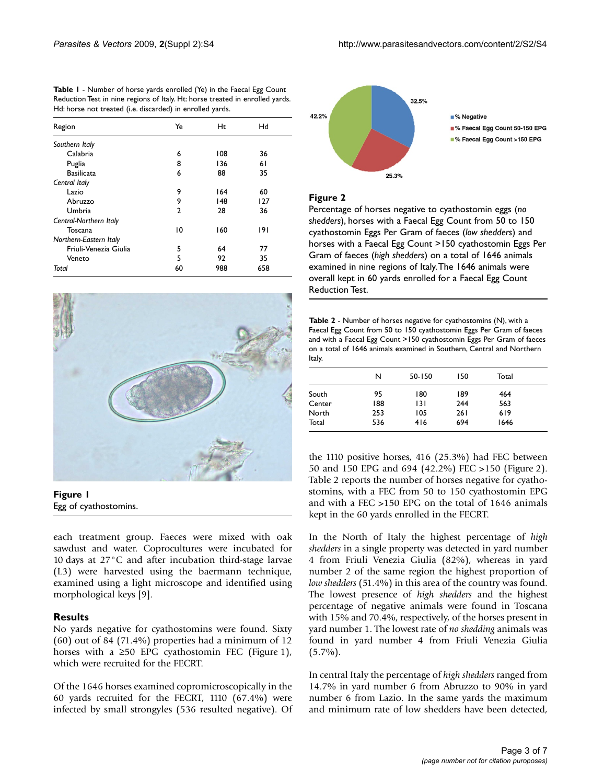| Region                 | Ye | Ht  | Hd  |
|------------------------|----|-----|-----|
| Southern Italy         |    |     |     |
| Calabria               | 6  | 108 | 36  |
| Puglia                 | 8  | 136 | 61  |
| <b>Basilicata</b>      | 6  | 88  | 35  |
| Central Italy          |    |     |     |
| Lazio                  | 9  | 164 | 60  |
| Abruzzo                | 9  | 148 | 127 |
| Umbria                 | 2  | 28  | 36  |
| Central-Northern Italy |    |     |     |
| Toscana                | 10 | 160 | 191 |
| Northern-Eastern Italy |    |     |     |
| Friuli-Venezia Giulia  | 5  | 64  | 77  |
| Veneto                 | 5  | 92  | 35  |
| Total                  | 60 | 988 | 658 |

**Table 1** - Number of horse yards enrolled (Ye) in the Faecal Egg Count Reduction Test in nine regions of Italy. Ht: horse treated in enrolled yards. Hd: horse not treated (i.e. discarded) in enrolled yards.



**Figure 1** Egg of cyathostomins.

each treatment group. Faeces were mixed with oak sawdust and water. Coprocultures were incubated for 10 days at 27°C and after incubation third-stage larvae (L3) were harvested using the baermann technique, examined using a light microscope and identified using morphological keys [9].

## **Results**

No yards negative for cyathostomins were found. Sixty (60) out of 84 (71.4%) properties had a minimum of 12 horses with a  $\geq 50$  EPG cyathostomin FEC (Figure 1), which were recruited for the FECRT.

Of the 1646 horses examined copromicroscopically in the 60 yards recruited for the FECRT, 1110 (67.4%) were infected by small strongyles (536 resulted negative). Of



## **Figure 2**

Percentage of horses negative to cyathostomin eggs (*no shedders*), horses with a Faecal Egg Count from 50 to 150 cyathostomin Eggs Per Gram of faeces (*low shedders*) and horses with a Faecal Egg Count >150 cyathostomin Eggs Per Gram of faeces (*high shedders*) on a total of 1646 animals examined in nine regions of Italy.The 1646 animals were overall kept in 60 yards enrolled for a Faecal Egg Count Reduction Test.

**Table 2** - Number of horses negative for cyathostomins (N), with a Faecal Egg Count from 50 to 150 cyathostomin Eggs Per Gram of faeces and with a Faecal Egg Count >150 cyathostomin Eggs Per Gram of faeces on a total of 1646 animals examined in Southern, Central and Northern Italy.

|        | N   | 50-150 | 150 | Total |  |
|--------|-----|--------|-----|-------|--|
| South  | 95  | 180    | 189 | 464   |  |
| Center | 188 | 131    | 244 | 563   |  |
| North  | 253 | 105    | 261 | 619   |  |
| Total  | 536 | 416    | 694 | 1646  |  |

the 1110 positive horses, 416 (25.3%) had FEC between 50 and 150 EPG and 694 (42.2%) FEC >150 (Figure 2). Table 2 reports the number of horses negative for cyathostomins, with a FEC from 50 to 150 cyathostomin EPG and with a FEC >150 EPG on the total of 1646 animals kept in the 60 yards enrolled in the FECRT.

In the North of Italy the highest percentage of *high shedders* in a single property was detected in yard number 4 from Friuli Venezia Giulia (82%), whereas in yard number 2 of the same region the highest proportion of *low shedders* (51.4%) in this area of the country was found. The lowest presence of *high shedders* and the highest percentage of negative animals were found in Toscana with 15% and 70.4%, respectively, of the horses present in yard number 1. The lowest rate of *no shedding* animals was found in yard number 4 from Friuli Venezia Giulia  $(5.7\%)$ .

In central Italy the percentage of *high shedders* ranged from 14.7% in yard number 6 from Abruzzo to 90% in yard number 6 from Lazio. In the same yards the maximum and minimum rate of low shedders have been detected,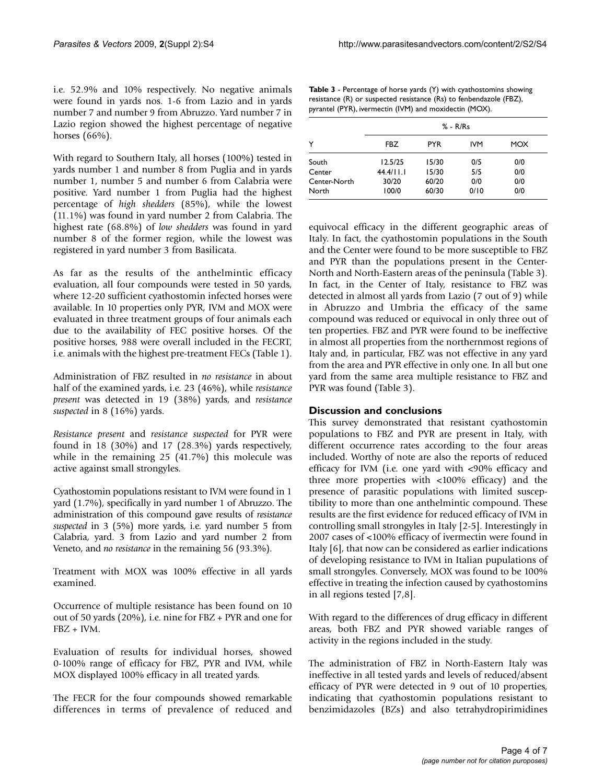i.e. 52.9% and 10% respectively. No negative animals were found in yards nos. 1-6 from Lazio and in yards number 7 and number 9 from Abruzzo. Yard number 7 in Lazio region showed the highest percentage of negative horses (66%).

With regard to Southern Italy, all horses (100%) tested in yards number 1 and number 8 from Puglia and in yards number 1, number 5 and number 6 from Calabria were positive. Yard number 1 from Puglia had the highest percentage of *high shedders* (85%), while the lowest (11.1%) was found in yard number 2 from Calabria. The highest rate (68.8%) of *low shedders* was found in yard number 8 of the former region, while the lowest was registered in yard number 3 from Basilicata.

As far as the results of the anthelmintic efficacy evaluation, all four compounds were tested in 50 yards, where 12-20 sufficient cyathostomin infected horses were available. In 10 properties only PYR, IVM and MOX were evaluated in three treatment groups of four animals each due to the availability of FEC positive horses. Of the positive horses, 988 were overall included in the FECRT, i.e. animals with the highest pre-treatment FECs (Table 1).

Administration of FBZ resulted in *no resistance* in about half of the examined yards, i.e. 23 (46%), while *resistance present* was detected in 19 (38%) yards, and *resistance suspected* in 8 (16%) yards.

*Resistance present* and *resistance suspected* for PYR were found in 18 (30%) and 17 (28.3%) yards respectively, while in the remaining 25 (41.7%) this molecule was active against small strongyles.

Cyathostomin populations resistant to IVM were found in 1 yard (1.7%), specifically in yard number 1 of Abruzzo. The administration of this compound gave results of *resistance suspected* in 3 (5%) more yards, i.e. yard number 5 from Calabria, yard. 3 from Lazio and yard number 2 from Veneto, and *no resistance* in the remaining 56 (93.3%).

Treatment with MOX was 100% effective in all yards examined.

Occurrence of multiple resistance has been found on 10 out of 50 yards (20%), i.e. nine for FBZ + PYR and one for FBZ + IVM.

Evaluation of results for individual horses, showed 0-100% range of efficacy for FBZ, PYR and IVM, while MOX displayed 100% efficacy in all treated yards.

The FECR for the four compounds showed remarkable differences in terms of prevalence of reduced and

| <b>Table 3</b> - Percentage of horse yards (Y) with cyathostomins showing |
|---------------------------------------------------------------------------|
| resistance (R) or suspected resistance (Rs) to fenbendazole (FBZ),        |
| pyrantel (PYR), ivermectin (IVM) and moxidectin (MOX).                    |

| Y            | $% - R/Rs$ |            |            |            |
|--------------|------------|------------|------------|------------|
|              | <b>FBZ</b> | <b>PYR</b> | <b>IVM</b> | <b>MOX</b> |
| South        | 12.5/25    | 15/30      | 0/5        | 0/0        |
| Center       | 44.4/11.1  | 15/30      | 5/5        | 0/0        |
| Center-North | 30/20      | 60/20      | 0/0        | 0/0        |
| North        | 100/0      | 60/30      | 0/10       | 0/0        |

equivocal efficacy in the different geographic areas of Italy. In fact, the cyathostomin populations in the South and the Center were found to be more susceptible to FBZ and PYR than the populations present in the Center-North and North-Eastern areas of the peninsula (Table 3). In fact, in the Center of Italy, resistance to FBZ was detected in almost all yards from Lazio (7 out of 9) while in Abruzzo and Umbria the efficacy of the same compound was reduced or equivocal in only three out of ten properties. FBZ and PYR were found to be ineffective in almost all properties from the northernmost regions of Italy and, in particular, FBZ was not effective in any yard from the area and PYR effective in only one. In all but one yard from the same area multiple resistance to FBZ and PYR was found (Table 3).

## **Discussion and conclusions**

This survey demonstrated that resistant cyathostomin populations to FBZ and PYR are present in Italy, with different occurrence rates according to the four areas included. Worthy of note are also the reports of reduced efficacy for IVM (i.e. one yard with <90% efficacy and three more properties with <100% efficacy) and the presence of parasitic populations with limited susceptibility to more than one anthelmintic compound. These results are the first evidence for reduced efficacy of IVM in controlling small strongyles in Italy [2-5]. Interestingly in 2007 cases of <100% efficacy of ivermectin were found in Italy [6], that now can be considered as earlier indications of developing resistance to IVM in Italian pupulations of small strongyles. Conversely, MOX was found to be 100% effective in treating the infection caused by cyathostomins in all regions tested [7,8].

With regard to the differences of drug efficacy in different areas, both FBZ and PYR showed variable ranges of activity in the regions included in the study.

The administration of FBZ in North-Eastern Italy was ineffective in all tested yards and levels of reduced/absent efficacy of PYR were detected in 9 out of 10 properties, indicating that cyathostomin populations resistant to benzimidazoles (BZs) and also tetrahydropirimidines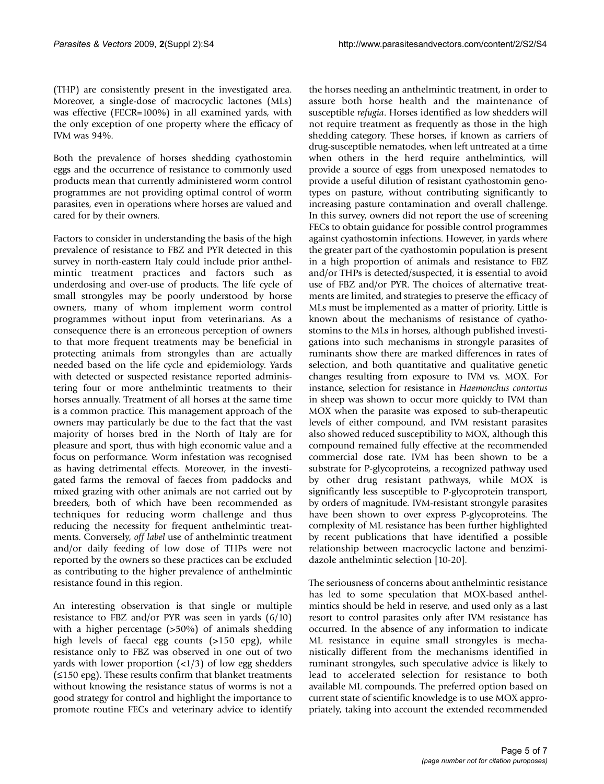(THP) are consistently present in the investigated area. Moreover, a single-dose of macrocyclic lactones (MLs) was effective (FECR=100%) in all examined yards, with the only exception of one property where the efficacy of IVM was 94%.

Both the prevalence of horses shedding cyathostomin eggs and the occurrence of resistance to commonly used products mean that currently administered worm control programmes are not providing optimal control of worm parasites, even in operations where horses are valued and cared for by their owners.

Factors to consider in understanding the basis of the high prevalence of resistance to FBZ and PYR detected in this survey in north-eastern Italy could include prior anthelmintic treatment practices and factors such as underdosing and over-use of products. The life cycle of small strongyles may be poorly understood by horse owners, many of whom implement worm control programmes without input from veterinarians. As a consequence there is an erroneous perception of owners to that more frequent treatments may be beneficial in protecting animals from strongyles than are actually needed based on the life cycle and epidemiology. Yards with detected or suspected resistance reported administering four or more anthelmintic treatments to their horses annually. Treatment of all horses at the same time is a common practice. This management approach of the owners may particularly be due to the fact that the vast majority of horses bred in the North of Italy are for pleasure and sport, thus with high economic value and a focus on performance. Worm infestation was recognised as having detrimental effects. Moreover, in the investigated farms the removal of faeces from paddocks and mixed grazing with other animals are not carried out by breeders, both of which have been recommended as techniques for reducing worm challenge and thus reducing the necessity for frequent anthelmintic treatments. Conversely, *off label* use of anthelmintic treatment and/or daily feeding of low dose of THPs were not reported by the owners so these practices can be excluded as contributing to the higher prevalence of anthelmintic resistance found in this region.

An interesting observation is that single or multiple resistance to FBZ and/or PYR was seen in yards (6/10) with a higher percentage (>50%) of animals shedding high levels of faecal egg counts (>150 epg), while resistance only to FBZ was observed in one out of two yards with lower proportion  $\left\langle \langle 1/3 \rangle \right\rangle$  of low egg shedders (≤150 epg). These results confirm that blanket treatments without knowing the resistance status of worms is not a good strategy for control and highlight the importance to promote routine FECs and veterinary advice to identify the horses needing an anthelmintic treatment, in order to assure both horse health and the maintenance of susceptible *refugia*. Horses identified as low shedders will not require treatment as frequently as those in the high shedding category. These horses, if known as carriers of drug-susceptible nematodes, when left untreated at a time when others in the herd require anthelmintics, will provide a source of eggs from unexposed nematodes to provide a useful dilution of resistant cyathostomin genotypes on pasture, without contributing significantly to increasing pasture contamination and overall challenge. In this survey, owners did not report the use of screening FECs to obtain guidance for possible control programmes against cyathostomin infections. However, in yards where the greater part of the cyathostomin population is present in a high proportion of animals and resistance to FBZ and/or THPs is detected/suspected, it is essential to avoid use of FBZ and/or PYR. The choices of alternative treatments are limited, and strategies to preserve the efficacy of MLs must be implemented as a matter of priority. Little is known about the mechanisms of resistance of cyathostomins to the MLs in horses, although published investigations into such mechanisms in strongyle parasites of ruminants show there are marked differences in rates of selection, and both quantitative and qualitative genetic changes resulting from exposure to IVM vs. MOX. For instance, selection for resistance in *Haemonchus contortus* in sheep was shown to occur more quickly to IVM than MOX when the parasite was exposed to sub-therapeutic levels of either compound, and IVM resistant parasites also showed reduced susceptibility to MOX, although this compound remained fully effective at the recommended commercial dose rate. IVM has been shown to be a substrate for P-glycoproteins, a recognized pathway used by other drug resistant pathways, while MOX is significantly less susceptible to P-glycoprotein transport, by orders of magnitude. IVM-resistant strongyle parasites have been shown to over express P-glycoproteins. The complexity of ML resistance has been further highlighted by recent publications that have identified a possible relationship between macrocyclic lactone and benzimidazole anthelmintic selection [10-20].

The seriousness of concerns about anthelmintic resistance has led to some speculation that MOX-based anthelmintics should be held in reserve, and used only as a last resort to control parasites only after IVM resistance has occurred. In the absence of any information to indicate ML resistance in equine small strongyles is mechanistically different from the mechanisms identified in ruminant strongyles, such speculative advice is likely to lead to accelerated selection for resistance to both available ML compounds. The preferred option based on current state of scientific knowledge is to use MOX appropriately, taking into account the extended recommended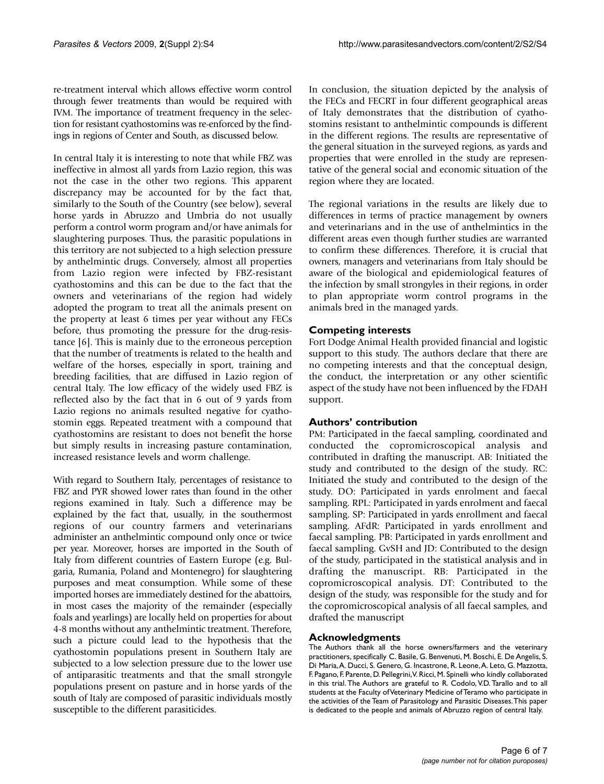re-treatment interval which allows effective worm control through fewer treatments than would be required with IVM. The importance of treatment frequency in the selection for resistant cyathostomins was re-enforced by the findings in regions of Center and South, as discussed below.

In central Italy it is interesting to note that while FBZ was ineffective in almost all yards from Lazio region, this was not the case in the other two regions. This apparent discrepancy may be accounted for by the fact that, similarly to the South of the Country (see below), several horse yards in Abruzzo and Umbria do not usually perform a control worm program and/or have animals for slaughtering purposes. Thus, the parasitic populations in this territory are not subjected to a high selection pressure by anthelmintic drugs. Conversely, almost all properties from Lazio region were infected by FBZ-resistant cyathostomins and this can be due to the fact that the owners and veterinarians of the region had widely adopted the program to treat all the animals present on the property at least 6 times per year without any FECs before, thus promoting the pressure for the drug-resistance [6]. This is mainly due to the erroneous perception that the number of treatments is related to the health and welfare of the horses, especially in sport, training and breeding facilities, that are diffused in Lazio region of central Italy. The low efficacy of the widely used FBZ is reflected also by the fact that in 6 out of 9 yards from Lazio regions no animals resulted negative for cyathostomin eggs. Repeated treatment with a compound that cyathostomins are resistant to does not benefit the horse but simply results in increasing pasture contamination, increased resistance levels and worm challenge.

With regard to Southern Italy, percentages of resistance to FBZ and PYR showed lower rates than found in the other regions examined in Italy. Such a difference may be explained by the fact that, usually, in the southermost regions of our country farmers and veterinarians administer an anthelmintic compound only once or twice per year. Moreover, horses are imported in the South of Italy from different countries of Eastern Europe (e.g. Bulgaria, Rumania, Poland and Montenegro) for slaughtering purposes and meat consumption. While some of these imported horses are immediately destined for the abattoirs, in most cases the majority of the remainder (especially foals and yearlings) are locally held on properties for about 4-8 months without any anthelmintic treatment. Therefore, such a picture could lead to the hypothesis that the cyathostomin populations present in Southern Italy are subjected to a low selection pressure due to the lower use of antiparasitic treatments and that the small strongyle populations present on pasture and in horse yards of the south of Italy are composed of parasitic individuals mostly susceptible to the different parasiticides.

In conclusion, the situation depicted by the analysis of the FECs and FECRT in four different geographical areas of Italy demonstrates that the distribution of cyathostomins resistant to anthelmintic compounds is different in the different regions. The results are representative of the general situation in the surveyed regions, as yards and properties that were enrolled in the study are representative of the general social and economic situation of the region where they are located.

The regional variations in the results are likely due to differences in terms of practice management by owners and veterinarians and in the use of anthelmintics in the different areas even though further studies are warranted to confirm these differences. Therefore, it is crucial that owners, managers and veterinarians from Italy should be aware of the biological and epidemiological features of the infection by small strongyles in their regions, in order to plan appropriate worm control programs in the animals bred in the managed yards.

## **Competing interests**

Fort Dodge Animal Health provided financial and logistic support to this study. The authors declare that there are no competing interests and that the conceptual design, the conduct, the interpretation or any other scientific aspect of the study have not been influenced by the FDAH support.

## **Authors' contribution**

PM: Participated in the faecal sampling, coordinated and conducted the copromicroscopical analysis and contributed in drafting the manuscript. AB: Initiated the study and contributed to the design of the study. RC: Initiated the study and contributed to the design of the study. DO: Participated in yards enrolment and faecal sampling. RPL: Participated in yards enrolment and faecal sampling. SP: Participated in yards enrollment and faecal sampling. AFdR: Participated in yards enrollment and faecal sampling. PB: Participated in yards enrollment and faecal sampling. GvSH and JD: Contributed to the design of the study, participated in the statistical analysis and in drafting the manuscript. RB: Participated in the copromicroscopical analysis. DT: Contributed to the design of the study, was responsible for the study and for the copromicroscopical analysis of all faecal samples, and drafted the manuscript

#### **Acknowledgments**

The Authors thank all the horse owners/farmers and the veterinary practitioners, specifically C. Basile, G. Benvenuti, M. Boschi, E. De Angelis, S. Di Maria,A. Ducci, S. Genero, G. Incastrone, R. Leone,A. Leto, G. Mazzotta, F. Pagano, F. Parente, D. Pellegrini,V. Ricci, M. Spinelli who kindly collaborated in this trial. The Authors are grateful to R. Codolo, V.D. Tarallo and to all students at the Faculty of Veterinary Medicine of Teramo who participate in the activities of the Team of Parasitology and Parasitic Diseases.This paper is dedicated to the people and animals of Abruzzo region of central Italy.